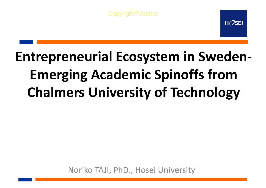Copyright@Author

 $H\mathcal{O}$ SEI

# **Entrepreneurial Ecosystem in Sweden-Emerging Academic Spinoffs from Chalmers University of Technology**

Noriko TAJI, PhD., Hosei University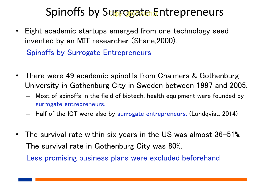#### Spinoffs by Surrogate Entrepreneurs

- Eight academic startups emerged from one technology seed invented by an MIT researcher (Shane,2000). Spinoffs by Surrogate Entrepreneurs
- There were 49 academic spinoffs from Chalmers & Gothenburg University in Gothenburg City in Sweden between 1997 and 2005.
	- Most of spinoffs in the field of biotech, health equipment were founded by surrogate entrepreneurs.
	- Half of the ICT were also by surrogate entrepreneurs. (Lundqvist, 2014)
- The survival rate within six years in the US was almost 36-51%. The survival rate in Gothenburg City was 80%. Less promising business plans were excluded beforehand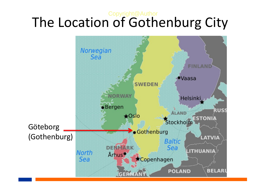#### The Location of Gothenburg City Copyright@Author

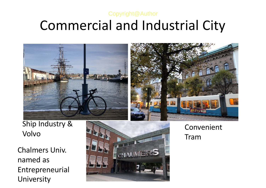#### Commercial and Industrial City Copyright@Author



Ship Industry & Volvo

Chalmers Univ. named as Entrepreneurial University



Convenient Tram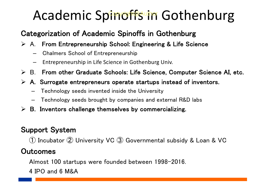## Academic Spinoffs in Gothenburg

#### Categorization of Academic Spinoffs in Gothenburg

- $\triangleright$  A. From Entrepreneurship School: Engineering & Life Science
	- Chalmers School of Entrepreneurship
	- Entrepreneurship in Life Science in Gothenburg Univ.
- $\triangleright$  B. From other Graduate Schools: Life Science, Computer Science AI, etc.
- $\triangleright$  A. Surrogate entrepreneurs operate startups instead of inventors.
	- Technology seeds invented inside the University
	- Technology seeds brought by companies and external R&D labs
- $\triangleright$  B. Inventors challenge themselves by commercializing.

#### Support System

① Incubator ② University VC ③ Governmental subsidy & Loan & VC

#### **Outcomes**

Almost 100 startups were founded between 1998-2016.

4 IPO and 6 M&A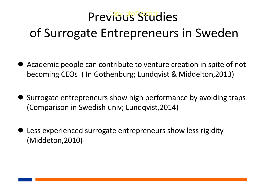## Previous Stuhies of Surrogate Entrepreneurs in Sweden

- Academic people can contribute to venture creation in spite of not becoming CEOs ( In Gothenburg; Lundqvist & Middelton,2013)
- Surrogate entrepreneurs show high performance by avoiding traps (Comparison in Swedish univ; Lundqvist,2014)
- **D** Less experienced surrogate entrepreneurs show less rigidity (Middeton,2010)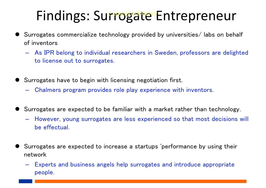### Findings: Surrogate Entrepreneur

- Surrogates commercialize technology provided by universities/ labs on behalf of inventors
	- As IPR belong to individual researchers in Sweden, professors are delighted to license out to surrogates.
- Surrogates have to begin with licensing negotiation first.
	- Chalmers program provides role play experience with inventors.
- Surrogates are expected to be familiar with a market rather than technology.
	- However, young surrogates are less experienced so that most decisions will be effectual.
- Surrogates are expected to increase a startups 'performance by using their network
	- Experts and business angels help surrogates and introduce appropriate people.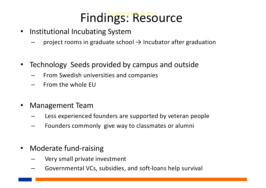# Findings: Resource

- Institutional Incubating System
	- project rooms in graduate school  $\rightarrow$  Incubator after graduation
- Technology Seeds provided by campus and outside
	- From Swedish universities and companies
	- From the whole EU
- Management Team
	- Less experienced founders are supported by veteran people
	- Founders commonly give way to classmates or alumni
- Moderate fund-raising
	- Very small private investment
	- Governmental VCs, subsidies, and soft-loans help survival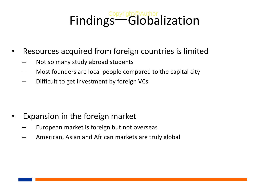# Findings-Globalization

- Resources acquired from foreign countries is limited
	- Not so many study abroad students
	- Most founders are local people compared to the capital city
	- Difficult to get investment by foreign VCs

- Expansion in the foreign market
	- European market is foreign but not overseas
	- American, Asian and African markets are truly global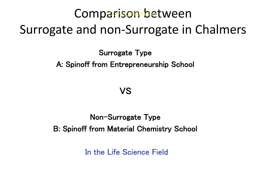#### Comparison between Surrogate and non-Surrogate in Chalmers **Bopyscht@Author**

Surrogate Type

A: Spinoff from Entrepreneurship School

VS

Non-Surrogate Type B: Spinoff from Material Chemistry School

In the Life Science Field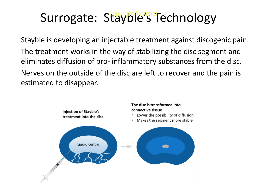### Surrogate: Stayble's Technology

Stayble is developing an injectable treatment against discogenic pain. The treatment works in the way of stabilizing the disc segment and eliminates diffusion of pro- inflammatory substances from the disc. Nerves on the outside of the disc are left to recover and the pain is estimated to disappear.

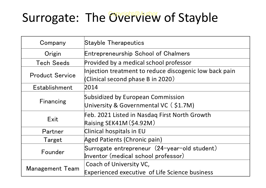## Surrogate: The Civicht@Author of Stayble

| Company                | <b>Stayble Therapeutics</b>                                                                 |
|------------------------|---------------------------------------------------------------------------------------------|
| Origin                 | <b>Entrepreneurship School of Chalmers</b>                                                  |
| <b>Tech Seeds</b>      | Provided by a medical school professor                                                      |
| <b>Product Service</b> | Injection treatment to reduce discogenic low back pain<br>(Clinical second phase B in 2020) |
| Establishment          | 2014                                                                                        |
| Financing              | Subsidized by European Commission<br>University & Governmental VC (\$1.7M)                  |
| Exit                   | Feb. 2021 Listed in Nasdaq First North Growth<br>Raising $SEK41M(S4.92M)$                   |
| Partner                | Clinical hospitals in EU                                                                    |
| Target                 | Aged Patients (Chronic pain)                                                                |
| Founder                | Surrogate entrepreneur (24-year-old student)<br>Inventor (medical school professor)         |
| <b>Management Team</b> | Coach of University VC,<br>Experienced executive of Life Science business                   |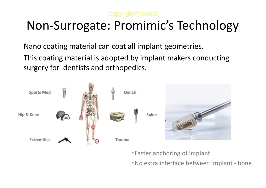#### Copyright@Author

#### Non-Surrogate: Promimic's Technology

Nano coating material can coat all implant geometries.

This coating material is adopted by implant makers conducting surgery for dentists and orthopedics.



・Faster anchoring of implant

・No extra interface between implant - bone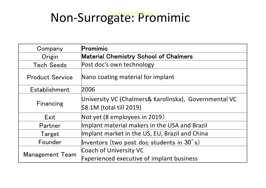### Non-Surrogate: Promimic

| Company                | Promimic                                                                          |
|------------------------|-----------------------------------------------------------------------------------|
| Origin                 | <b>Material Chemistry School of Chalmers</b>                                      |
| <b>Tech Seeds</b>      | Post doc's own technology                                                         |
| <b>Product Service</b> | Nano coating material for implant                                                 |
| Establishment          | 2006                                                                              |
| Financing              | University VC (Chalmers& Karolinska), Governmental VC<br>\$8.1M (total till 2019) |
| Exit                   | Not yet (8 employees in 2019)                                                     |
| Partner                | Implant material makers in the USA and Brazil                                     |
| Target                 | Implant market in the US, EU, Brazil and China                                    |
| Founder                | Inventors (two post doc students in $30'$ s)                                      |
| <b>Management Team</b> | Coach of University VC                                                            |
|                        | <b>Fxperienced executive of implant business</b>                                  |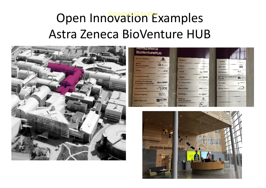### Open Innovation Examples Astra Zeneca BioVenture HUB



| <b>Anteros Medical</b>                       | <b>AMTAROS</b>            | <b>ForWeire</b>                   | DIR Year in            |                                                   |                 |
|----------------------------------------------|---------------------------|-----------------------------------|------------------------|---------------------------------------------------|-----------------|
| <b>Athens</b><br><b>Binnetwologies</b>       | Qatticra                  | <b>InCreat</b>                    | <b>BERBITTS</b>        | Promine of<br>C&U Labs                            | Prominent<br>ରଳ |
| <b>Cellnk</b>                                | <b>LOUDER</b>             | 1-Toch                            | $\omega$ i-tech        | <b>RUS Global</b>                                 | RLS<br>GLOSAI   |
| Corona Scientific                            | Central Summary           | <b>Uploon</b>                     | <b>WASHINGTON</b>      | Scoridingsen Development<br>界部<br><b>Services</b> |                 |
| Chalmano/Goteborgs<br>Universitet (NanoSiMS) | <b>NanoSHAS</b>           | <b>L'y Diagnostics</b>            | $-2.25 - 20.5$         | 22181300                                          | $-2197228$      |
| Cline Scientific                             | Cine                      | <b>ManufactWeter</b>              | JWR man server         | Убедин Ревеста.                                   | ylan aran-      |
| Contine Pharma                               | <b>Corline</b><br>pharrow | Mctabogen                         | пативный.              |                                                   |                 |
| Ectin Research                               | <b>BALLECTIV</b>          | <b>Metynex</b><br>Pharmacouticals | $P_{\text{max}}$       |                                                   |                 |
| <b>Equatiti Bird</b>                         | TAGERT ! HOP              | Môln yeke                         | $A^{\mu}$<br>Mitniecke |                                                   |                 |